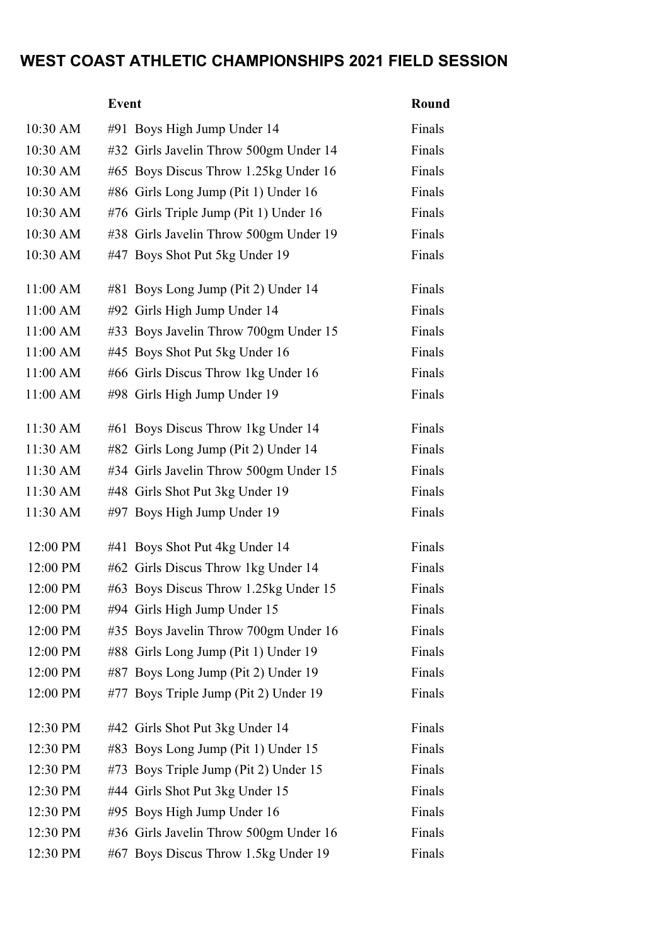## WEST COAST ATHLETIC CHAMPIONSHIPS 2021 FIELD SESSION

|            | <b>Event</b>                           | Round  |
|------------|----------------------------------------|--------|
| 10:30 AM   | #91 Boys High Jump Under 14            | Finals |
| 10:30 AM   | #32 Girls Javelin Throw 500gm Under 14 | Finals |
| $10:30$ AM | #65 Boys Discus Throw 1.25kg Under 16  | Finals |
| 10:30 AM   | #86 Girls Long Jump (Pit 1) Under 16   | Finals |
| $10:30$ AM | #76 Girls Triple Jump (Pit 1) Under 16 | Finals |
| 10:30 AM   | #38 Girls Javelin Throw 500gm Under 19 | Finals |
| 10:30 AM   | #47 Boys Shot Put 5kg Under 19         | Finals |
| 11:00 AM   | #81 Boys Long Jump (Pit 2) Under 14    | Finals |
| 11:00 AM   | #92 Girls High Jump Under 14           | Finals |
| $11:00$ AM | #33 Boys Javelin Throw 700gm Under 15  | Finals |
| 11:00 AM   | #45 Boys Shot Put 5kg Under 16         | Finals |
| 11:00 AM   | #66 Girls Discus Throw 1kg Under 16    | Finals |
| 11:00 AM   | #98 Girls High Jump Under 19           | Finals |
| 11:30 AM   | #61 Boys Discus Throw 1kg Under 14     | Finals |
| 11:30 AM   | #82 Girls Long Jump (Pit 2) Under 14   | Finals |
| $11:30$ AM | #34 Girls Javelin Throw 500gm Under 15 | Finals |
| $11:30$ AM | #48 Girls Shot Put 3kg Under 19        | Finals |
| 11:30 AM   | #97 Boys High Jump Under 19            | Finals |
| 12:00 PM   | #41 Boys Shot Put 4kg Under 14         | Finals |
| 12:00 PM   | #62 Girls Discus Throw 1kg Under 14    | Finals |
| 12:00 PM   | #63 Boys Discus Throw 1.25kg Under 15  | Finals |
| 12:00 PM   | #94 Girls High Jump Under 15           | Finals |
| 12:00 PM   | #35 Boys Javelin Throw 700gm Under 16  | Finals |
| 12:00 PM   | #88 Girls Long Jump (Pit 1) Under 19   | Finals |
| 12:00 PM   | #87 Boys Long Jump (Pit 2) Under 19    | Finals |
| 12:00 PM   | #77 Boys Triple Jump (Pit 2) Under 19  | Finals |
| 12:30 PM   | #42 Girls Shot Put 3kg Under 14        | Finals |
| 12:30 PM   | #83 Boys Long Jump (Pit 1) Under 15    | Finals |
| 12:30 PM   | #73 Boys Triple Jump (Pit 2) Under 15  | Finals |
| 12:30 PM   | #44 Girls Shot Put 3kg Under 15        | Finals |
| 12:30 PM   | #95 Boys High Jump Under 16            | Finals |
| 12:30 PM   | #36 Girls Javelin Throw 500gm Under 16 | Finals |
| 12:30 PM   | #67 Boys Discus Throw 1.5kg Under 19   | Finals |